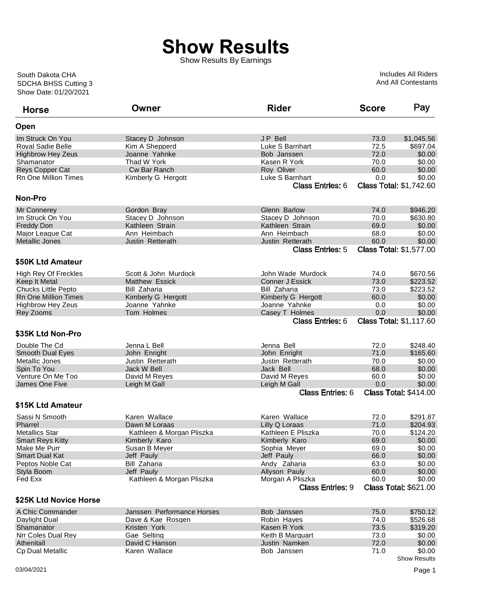## **Show Results**

Show Results By Earnings

Show Date: 01/20/2021 SDCHA BHSS Cutting 3 South Dakota CHA

Includes All Riders And All Contestants

| <b>Horse</b>                | Owner                      | <b>Rider</b>            | <b>Score</b> | Pay                            |
|-----------------------------|----------------------------|-------------------------|--------------|--------------------------------|
| Open                        |                            |                         |              |                                |
| Im Struck On You            | Stacey D Johnson           | JP Bell                 | 73.0         | \$1,045.56                     |
| <b>Royal Sadie Belle</b>    | Kim A Shepperd             | Luke S Barnhart         | 72.5         | \$697.04                       |
| <b>Highbrow Hey Zeus</b>    | Joanne Yahnke              | Bob Janssen             | 72.0         | \$0.00                         |
| Shamanator                  | Thad W York                | Kasen R York            | 70.0         | \$0.00                         |
| Reys Copper Cat             | Cw Bar Ranch               | Roy Oliver              | 60.0         | \$0.00                         |
| Rn One Million Times        | Kimberly G Hergott         | Luke S Barnhart         | 0.0          | \$0.00                         |
|                             |                            | <b>Class Entries: 6</b> |              | <b>Class Total: \$1,742.60</b> |
| <b>Non-Pro</b>              |                            |                         |              |                                |
| <b>Mr Connerey</b>          | Gordon Bray                | Glenn Barlow            | 74.0         | \$946.20                       |
| Im Struck On You            | Stacey D Johnson           | Stacey D Johnson        | 70.0         | \$630.80                       |
| <b>Freddy Don</b>           | Kathleen Strain            | Kathleen Strain         | 69.0         | \$0.00                         |
| Major League Cat            | Ann Heimbach               | Ann Heimbach            | 68.0         | \$0.00                         |
| Metallic Jones              | Justin Retterath           | Justin Retterath        | 60.0         | \$0.00                         |
|                             |                            | <b>Class Entries: 5</b> |              | <b>Class Total: \$1,577.00</b> |
| \$50K Ltd Amateur           |                            |                         |              |                                |
| <b>High Rey Of Freckles</b> | Scott & John Murdock       | John Wade Murdock       | 74.0         | \$670.56                       |
| Keep It Metal               | Matthew Essick             | <b>Conner J Essick</b>  | 73.0         | \$223.52                       |
| <b>Chucks Little Pepto</b>  | <b>Bill Zaharia</b>        | Bill Zaharia            | 73.0         | \$223.52                       |
| <b>Rn One Million Times</b> | Kimberly G Hergott         | Kimberly G Hergott      | 60.0         | \$0.00                         |
| <b>Highbrow Hey Zeus</b>    | Joanne Yahnke              | Joanne Yahnke           | 0.0          | \$0.00                         |
| Rey Zooms                   | Tom Holmes                 | Casey T Holmes          | 0.0          | \$0.00                         |
|                             |                            | <b>Class Entries: 6</b> |              | <b>Class Total: \$1,117.60</b> |
| \$35K Ltd Non-Pro           |                            |                         |              |                                |
| Double The Cd               | Jenna L Bell               | Jenna Bell              | 72.0         | \$248.40                       |
| <b>Smooth Dual Eyes</b>     | John Enright               | John Enright            | 71.0         | \$165.60                       |
| Metallic Jones              | Justin Retterath           | Justin Retterath        | 70.0         | \$0.00                         |
| Spin To You                 | Jack W Bell                | Jack Bell               | 68.0         | \$0.00                         |
| Venture On Me Too           | David M Reyes              | David M Reyes           | 60.0         | \$0.00                         |
| James One Five              | Leigh M Gall               | Leigh M Gall            | 0.0          | \$0.00                         |
|                             |                            | <b>Class Entries: 6</b> |              | <b>Class Total: \$414.00</b>   |
| \$15K Ltd Amateur           |                            |                         |              |                                |
| Sassi N Smooth              | Karen Wallace              | Karen Wallace           | 72.0         | \$291.87                       |
| Pharrel                     | Dawn M Loraas              | Lilly Q Loraas          | 71.0         | \$204.93                       |
| <b>Metallics Star</b>       | Kathleen & Morgan Pliszka  | Kathleen E Pliszka      | 70.0         | \$124.20                       |
| <b>Smart Reys Kitty</b>     | Kimberly Karo              | Kimberly Karo           | 69.0         | \$0.00                         |
| Make Me Purr                | Susan B Meyer              | Sophia Meyer            | 69.0         | \$0.00                         |
| <b>Smart Dual Kat</b>       | Jeff Pauly                 | Jeff Pauly              | 66.0         | \$0.00                         |
| Peptos Noble Cat            | Bill Zaharia               | Andy Zaharia            | 63.0         | \$0.00                         |
| Styla Boom                  | Jeff Pauly                 | Allyson Pauly           | 60.0         | \$0.00                         |
| Fed Exx                     | Kathleen & Morgan Pliszka  | Morgan A Pliszka        | 60.0         | \$0.00                         |
|                             |                            | <b>Class Entries: 9</b> |              | <b>Class Total: \$621.00</b>   |
| \$25K Ltd Novice Horse      |                            |                         |              |                                |
| A Chic Commander            | Janssen Performance Horses | Bob Janssen             | 75.0         | \$750.12                       |
| Daylight Dual               | Dave & Kae Rosgen          | Robin Hayes             | 74.0         | \$526.68                       |
| Shamanator                  | Kristen York               | Kasen R York            | 73.5         | \$319.20                       |
| Nrr Coles Dual Rey          | Gae Selting                | Keith B Marquart        | 73.0         | \$0.00                         |
| Athenitall                  | David C Hanson             | Justin Namken           | 72.0         | \$0.00                         |
| Cp Dual Metallic            | Karen Wallace              | Bob Janssen             | 71.0         | \$0.00                         |
|                             |                            |                         |              | <b>Show Results</b>            |